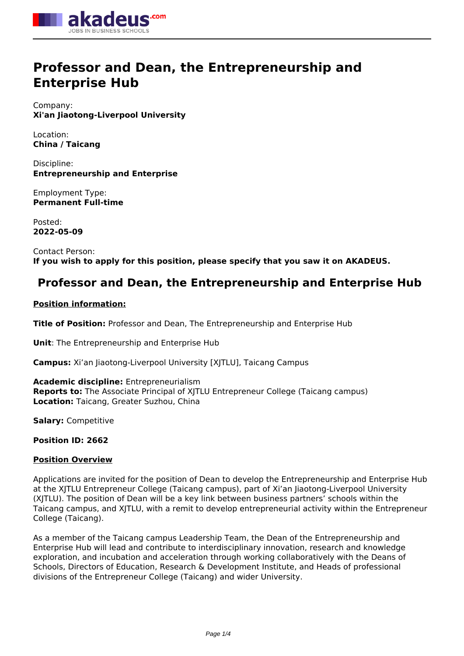

# **Professor and Dean, the Entrepreneurship and Enterprise Hub**

Company: **Xi'an Jiaotong-Liverpool University**

Location: **China / Taicang**

Discipline: **Entrepreneurship and Enterprise**

Employment Type: **Permanent Full-time**

Posted: **2022-05-09**

Contact Person: **If you wish to apply for this position, please specify that you saw it on AKADEUS.**

## **Professor and Dean, the Entrepreneurship and Enterprise Hub**

### **Position information:**

**Title of Position:** Professor and Dean, The Entrepreneurship and Enterprise Hub

**Unit**: The Entrepreneurship and Enterprise Hub

**Campus:** Xi'an Jiaotong-Liverpool University [XJTLU], Taicang Campus

**Academic discipline:** Entrepreneurialism **Reports to:** The Associate Principal of XJTLU Entrepreneur College (Taicang campus) **Location:** Taicang, Greater Suzhou, China

**Salary:** Competitive

**Position ID: 2662**

#### **Position Overview**

Applications are invited for the position of Dean to develop the Entrepreneurship and Enterprise Hub at the XJTLU Entrepreneur College (Taicang campus), part of Xi'an Jiaotong-Liverpool University (XJTLU). The position of Dean will be a key link between business partners' schools within the Taicang campus, and XJTLU, with a remit to develop entrepreneurial activity within the Entrepreneur College (Taicang).

As a member of the Taicang campus Leadership Team, the Dean of the Entrepreneurship and Enterprise Hub will lead and contribute to interdisciplinary innovation, research and knowledge exploration, and incubation and acceleration through working collaboratively with the Deans of Schools, Directors of Education, Research & Development Institute, and Heads of professional divisions of the Entrepreneur College (Taicang) and wider University.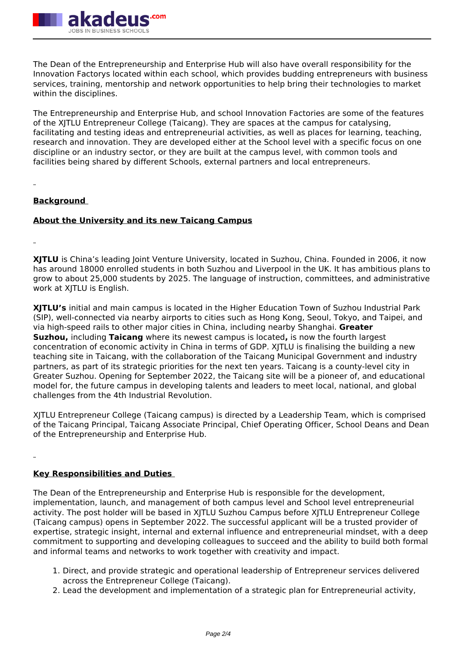

The Dean of the Entrepreneurship and Enterprise Hub will also have overall responsibility for the Innovation Factorys located within each school, which provides budding entrepreneurs with business services, training, mentorship and network opportunities to help bring their technologies to market within the disciplines.

The Entrepreneurship and Enterprise Hub, and school Innovation Factories are some of the features of the XJTLU Entrepreneur College (Taicang). They are spaces at the campus for catalysing, facilitating and testing ideas and entrepreneurial activities, as well as places for learning, teaching, research and innovation. They are developed either at the School level with a specific focus on one discipline or an industry sector, or they are built at the campus level, with common tools and facilities being shared by different Schools, external partners and local entrepreneurs.

#### **Background**

#### **About the University and its new Taicang Campus**

**XJTLU** is China's leading Joint Venture University, located in Suzhou, China. Founded in 2006, it now has around 18000 enrolled students in both Suzhou and Liverpool in the UK. It has ambitious plans to grow to about 25,000 students by 2025. The language of instruction, committees, and administrative work at XJTLU is English.

**XJTLU's** initial and main campus is located in the Higher Education Town of Suzhou Industrial Park (SIP), well-connected via nearby airports to cities such as Hong Kong, Seoul, Tokyo, and Taipei, and via high-speed rails to other major cities in China, including nearby Shanghai. **Greater Suzhou,** including **Taicang** where its newest campus is located**,** is now the fourth largest concentration of economic activity in China in terms of GDP. XJTLU is finalising the building a new teaching site in Taicang, with the collaboration of the Taicang Municipal Government and industry partners, as part of its strategic priorities for the next ten years. Taicang is a county-level city in Greater Suzhou. Opening for September 2022, the Taicang site will be a pioneer of, and educational model for, the future campus in developing talents and leaders to meet local, national, and global challenges from the 4th Industrial Revolution.

XJTLU Entrepreneur College (Taicang campus) is directed by a Leadership Team, which is comprised of the Taicang Principal, Taicang Associate Principal, Chief Operating Officer, School Deans and Dean of the Entrepreneurship and Enterprise Hub.

#### **Key Responsibilities and Duties**

The Dean of the Entrepreneurship and Enterprise Hub is responsible for the development, implementation, launch, and management of both campus level and School level entrepreneurial activity. The post holder will be based in XJTLU Suzhou Campus before XJTLU Entrepreneur College (Taicang campus) opens in September 2022. The successful applicant will be a trusted provider of expertise, strategic insight, internal and external influence and entrepreneurial mindset, with a deep commitment to supporting and developing colleagues to succeed and the ability to build both formal and informal teams and networks to work together with creativity and impact.

- 1. Direct, and provide strategic and operational leadership of Entrepreneur services delivered across the Entrepreneur College (Taicang).
- 2. Lead the development and implementation of a strategic plan for Entrepreneurial activity,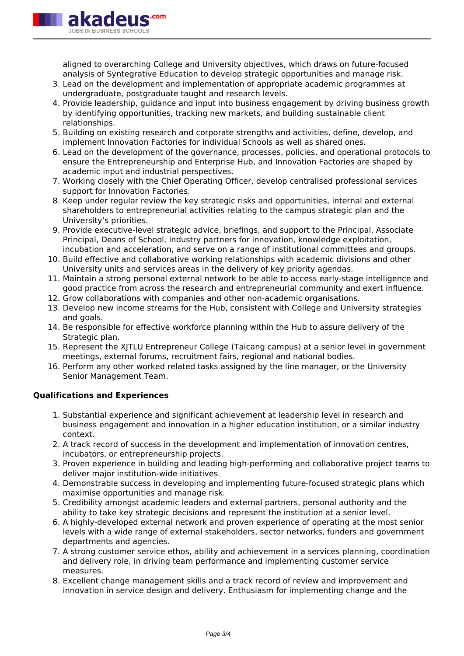

aligned to overarching College and University objectives, which draws on future-focused analysis of Syntegrative Education to develop strategic opportunities and manage risk.

- 3. Lead on the development and implementation of appropriate academic programmes at undergraduate, postgraduate taught and research levels.
- 4. Provide leadership, guidance and input into business engagement by driving business growth by identifying opportunities, tracking new markets, and building sustainable client relationships.
- 5. Building on existing research and corporate strengths and activities, define, develop, and implement Innovation Factories for individual Schools as well as shared ones.
- 6. Lead on the development of the governance, processes, policies, and operational protocols to ensure the Entrepreneurship and Enterprise Hub, and Innovation Factories are shaped by academic input and industrial perspectives.
- 7. Working closely with the Chief Operating Officer, develop centralised professional services support for Innovation Factories.
- 8. Keep under regular review the key strategic risks and opportunities, internal and external shareholders to entrepreneurial activities relating to the campus strategic plan and the University's priorities.
- 9. Provide executive-level strategic advice, briefings, and support to the Principal, Associate Principal, Deans of School, industry partners for innovation, knowledge exploitation, incubation and acceleration, and serve on a range of institutional committees and groups.
- 10. Build effective and collaborative working relationships with academic divisions and other University units and services areas in the delivery of key priority agendas.
- 11. Maintain a strong personal external network to be able to access early-stage intelligence and good practice from across the research and entrepreneurial community and exert influence.
- 12. Grow collaborations with companies and other non-academic organisations.
- 13. Develop new income streams for the Hub, consistent with College and University strategies and goals.
- 14. Be responsible for effective workforce planning within the Hub to assure delivery of the Strategic plan.
- 15. Represent the XJTLU Entrepreneur College (Taicang campus) at a senior level in government meetings, external forums, recruitment fairs, regional and national bodies.
- 16. Perform any other worked related tasks assigned by the line manager, or the University Senior Management Team.

#### **Qualifications and Experiences**

- 1. Substantial experience and significant achievement at leadership level in research and business engagement and innovation in a higher education institution, or a similar industry context.
- 2. A track record of success in the development and implementation of innovation centres, incubators, or entrepreneurship projects.
- 3. Proven experience in building and leading high-performing and collaborative project teams to deliver major institution-wide initiatives.
- 4. Demonstrable success in developing and implementing future-focused strategic plans which maximise opportunities and manage risk.
- 5. Credibility amongst academic leaders and external partners, personal authority and the ability to take key strategic decisions and represent the institution at a senior level.
- 6. A highly-developed external network and proven experience of operating at the most senior levels with a wide range of external stakeholders, sector networks, funders and government departments and agencies.
- 7. A strong customer service ethos, ability and achievement in a services planning, coordination and delivery role, in driving team performance and implementing customer service measures.
- 8. Excellent change management skills and a track record of review and improvement and innovation in service design and delivery. Enthusiasm for implementing change and the